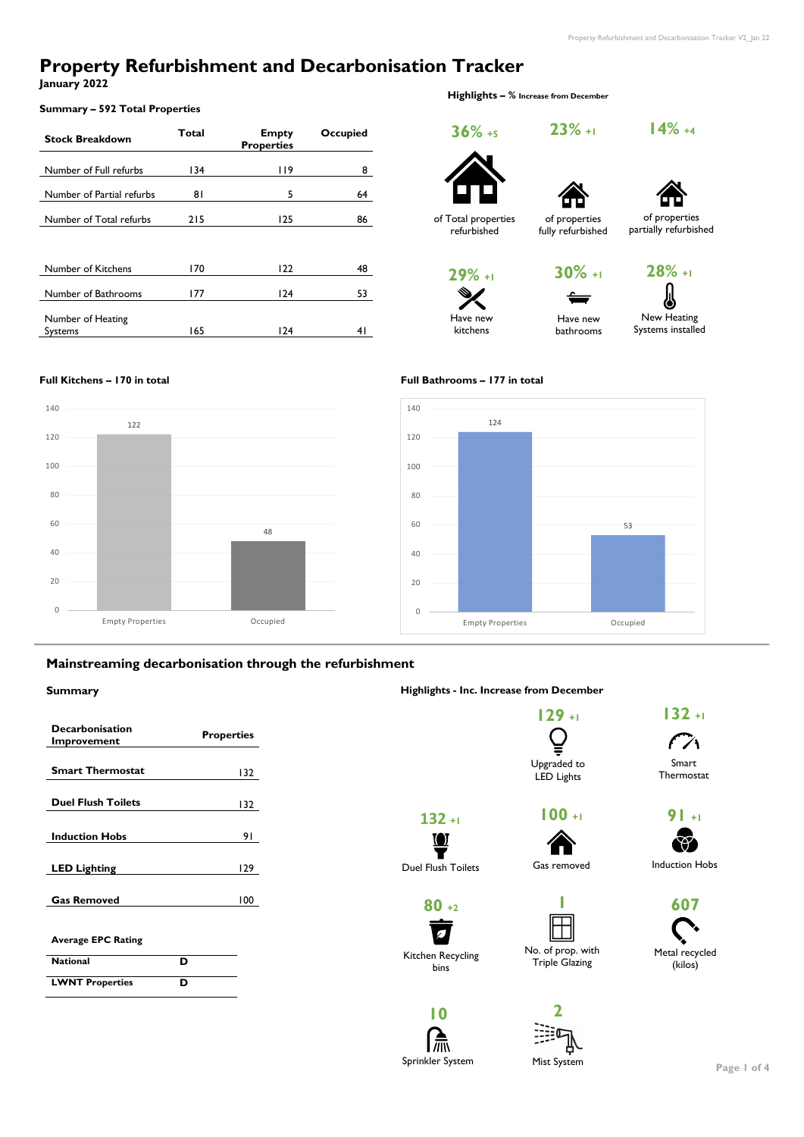# **Property Refurbishment and Decarbonisation Tracker**

**January 2022**

#### **Summary – 592 Total Properties**

 **Highlights – % Increase from December**

| <b>Stock Breakdown</b>              | Total | <b>Empty</b><br><b>Properties</b> | <b>Occupied</b> |  |
|-------------------------------------|-------|-----------------------------------|-----------------|--|
| Number of Full refurbs              | 134   | <b>119</b>                        | 8               |  |
| Number of Partial refurbs           | 81    | 5                                 | 64              |  |
| Number of Total refurbs             | 215   | 125                               | 86              |  |
|                                     |       |                                   |                 |  |
| Number of Kitchens                  | 170   | 122                               | 48              |  |
| Number of Bathrooms                 | 177   | 124                               | 53              |  |
| Number of Heating<br><b>Systems</b> | 165   | 124                               | 4 I             |  |

#### **Full Kitchens – 170 in total Full Bathrooms – 177 in total**

### **Mainstreaming decarbonisation through the refurbishment**

#### **Summary Highlights - Inc. Increase from December**

| <b>Decarbonisation</b><br>Improvement | <b>Properties</b> |
|---------------------------------------|-------------------|
| <b>Smart Thermostat</b>               | 132               |
| <b>Duel Flush Toilets</b>             | 132               |
| <b>Induction Hobs</b>                 |                   |

**Page 1 of 4**





**29% +1**

Have new kitchens



Have new

**23% +1**

of properties fully refurbished

> New Heating Systems installed bathrooms

**28% +1**

| <b>LED Lighting</b>       |   | 129 | <b>Duel Flush Toilets</b> | Gas removed           | <b>Induction Hobs</b> |
|---------------------------|---|-----|---------------------------|-----------------------|-----------------------|
| <b>Gas Removed</b>        |   | 100 | $80 + 2$                  |                       | 607                   |
| <b>Average EPC Rating</b> |   |     |                           | No. of prop. with     | Metal recycled        |
| <b>National</b>           | D |     | Kitchen Recycling<br>bins | <b>Triple Glazing</b> | (kilos)               |
| <b>LWNT Properties</b>    | D |     |                           |                       |                       |
|                           |   |     |                           |                       |                       |



**14% +4**





of Total properties refurbished





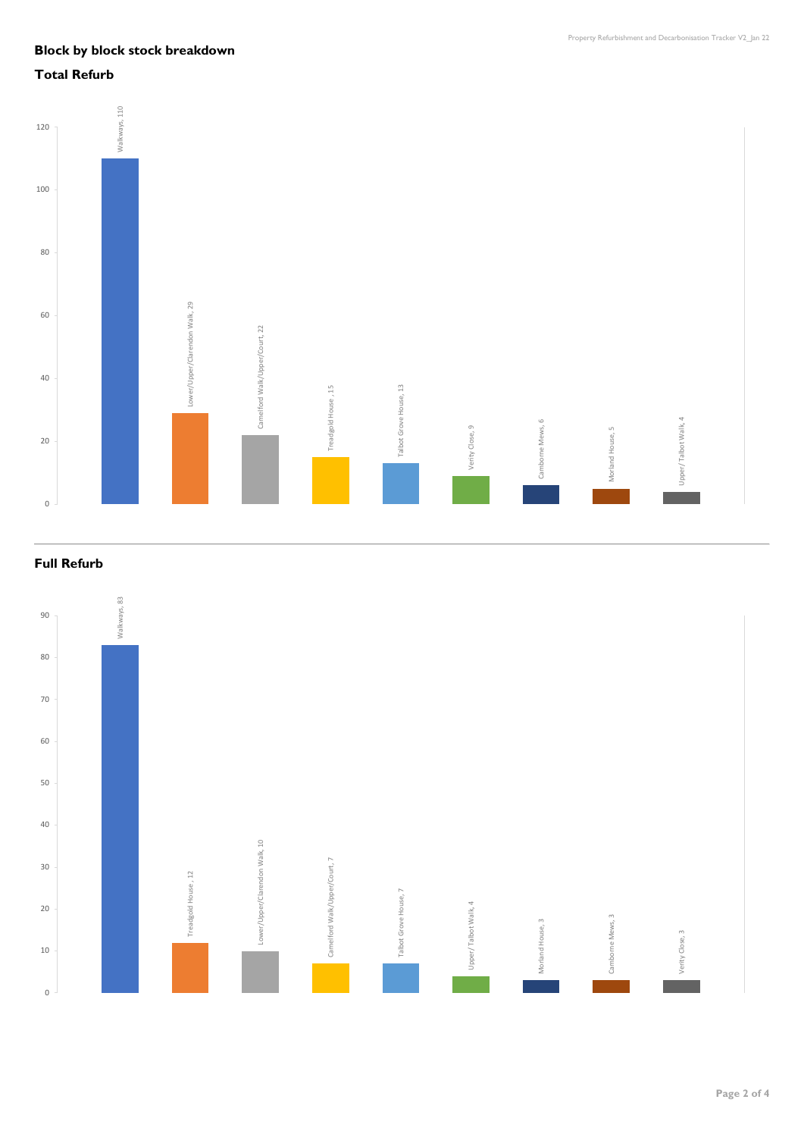## **Block by block stock breakdown**

## **Total Refurb**

## **Full Refurb**

**Page 2 of 4**



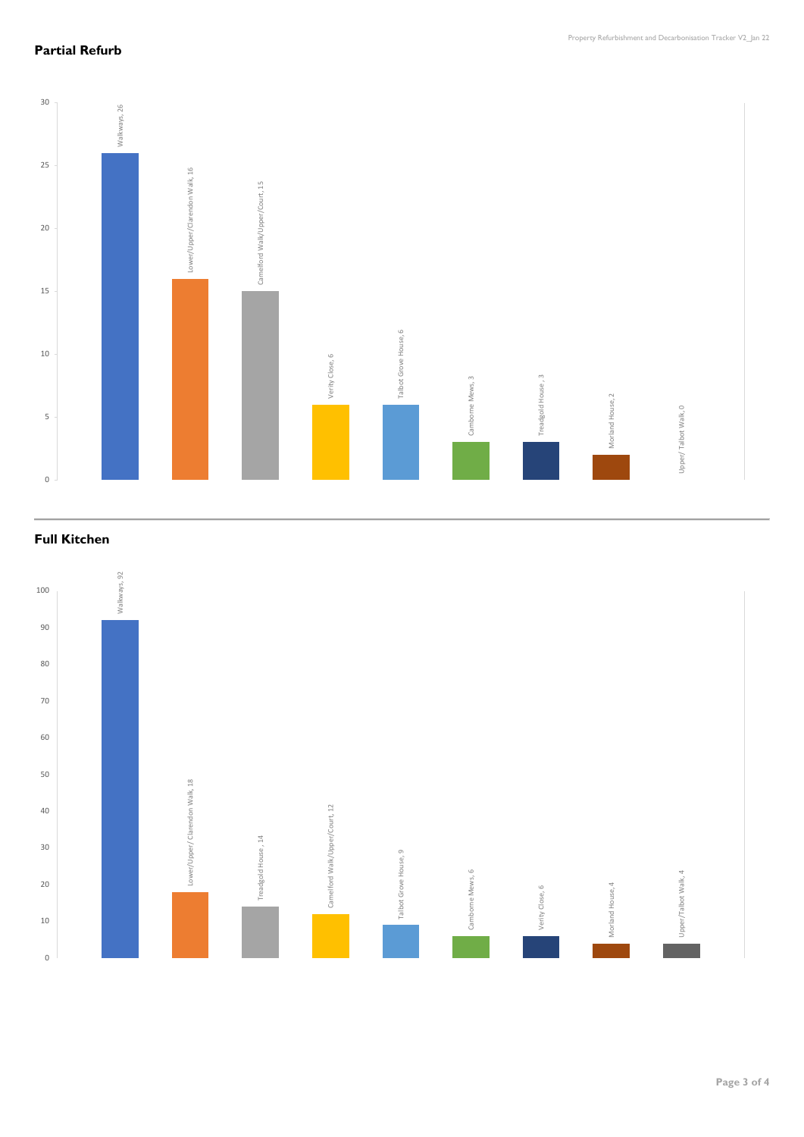## **Partial Refurb**

**Full Kitchen** 

**Page 3 of 4**